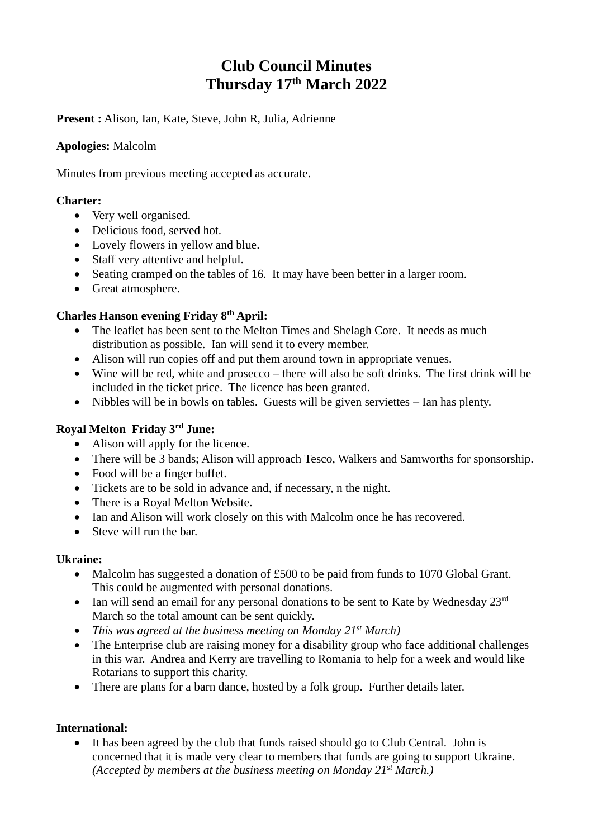# **Club Council Minutes Thursday 17th March 2022**

**Present :** Alison, Ian, Kate, Steve, John R, Julia, Adrienne

### **Apologies:** Malcolm

Minutes from previous meeting accepted as accurate.

#### **Charter:**

- Very well organised.
- Delicious food, served hot.
- Lovely flowers in yellow and blue.
- Staff very attentive and helpful.
- Seating cramped on the tables of 16. It may have been better in a larger room.
- Great atmosphere.

# **Charles Hanson evening Friday 8th April:**

- The leaflet has been sent to the Melton Times and Shelagh Core. It needs as much distribution as possible. Ian will send it to every member.
- Alison will run copies off and put them around town in appropriate venues.
- Wine will be red, white and prosecco there will also be soft drinks. The first drink will be included in the ticket price. The licence has been granted.
- Nibbles will be in bowls on tables. Guests will be given serviettes Ian has plenty.

# **Royal Melton Friday 3rd June:**

- Alison will apply for the licence.
- There will be 3 bands; Alison will approach Tesco, Walkers and Samworths for sponsorship.
- Food will be a finger buffet.
- Tickets are to be sold in advance and, if necessary, n the night.
- There is a Royal Melton Website.
- Ian and Alison will work closely on this with Malcolm once he has recovered.
- Steve will run the bar.

#### **Ukraine:**

- Malcolm has suggested a donation of £500 to be paid from funds to 1070 Global Grant. This could be augmented with personal donations.
- Ian will send an email for any personal donations to be sent to Kate by Wednesday  $23^{\text{rd}}$ March so the total amount can be sent quickly.
- *This was agreed at the business meeting on Monday 21st March)*
- The Enterprise club are raising money for a disability group who face additional challenges in this war. Andrea and Kerry are travelling to Romania to help for a week and would like Rotarians to support this charity.
- There are plans for a barn dance, hosted by a folk group. Further details later.

# **International:**

• It has been agreed by the club that funds raised should go to Club Central. John is concerned that it is made very clear to members that funds are going to support Ukraine. *(Accepted by members at the business meeting on Monday 21st March.)*